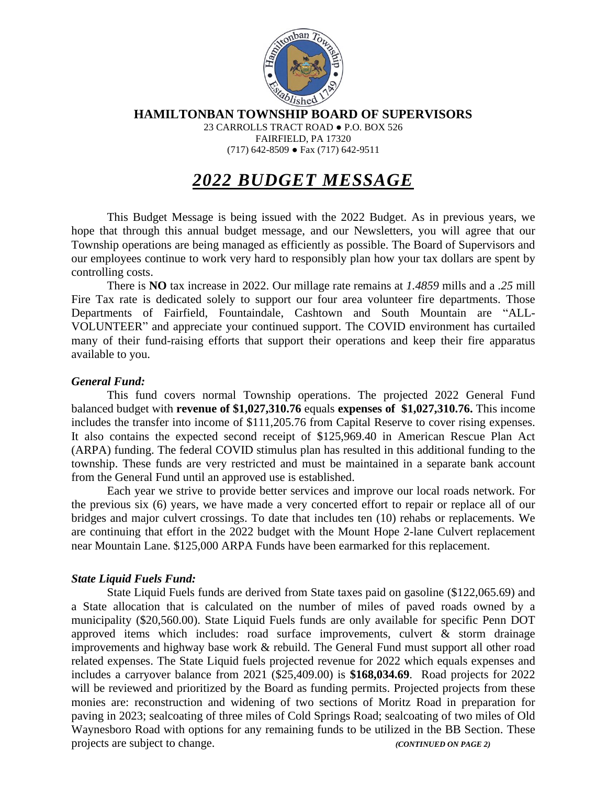

**HAMILTONBAN TOWNSHIP BOARD OF SUPERVISORS**

23 CARROLLS TRACT ROAD ● P.O. BOX 526 FAIRFIELD, PA 17320 (717) 642-8509 ● Fax (717) 642-9511

# *2022 BUDGET MESSAGE*

This Budget Message is being issued with the 2022 Budget. As in previous years, we hope that through this annual budget message, and our Newsletters, you will agree that our Township operations are being managed as efficiently as possible. The Board of Supervisors and our employees continue to work very hard to responsibly plan how your tax dollars are spent by controlling costs.

There is **NO** tax increase in 2022. Our millage rate remains at *1.4859* mills and a *.25* mill Fire Tax rate is dedicated solely to support our four area volunteer fire departments. Those Departments of Fairfield, Fountaindale, Cashtown and South Mountain are "ALL-VOLUNTEER" and appreciate your continued support. The COVID environment has curtailed many of their fund-raising efforts that support their operations and keep their fire apparatus available to you.

## *General Fund:*

This fund covers normal Township operations. The projected 2022 General Fund balanced budget with **revenue of \$1,027,310.76** equals **expenses of \$1,027,310.76.** This income includes the transfer into income of \$111,205.76 from Capital Reserve to cover rising expenses. It also contains the expected second receipt of \$125,969.40 in American Rescue Plan Act (ARPA) funding. The federal COVID stimulus plan has resulted in this additional funding to the township. These funds are very restricted and must be maintained in a separate bank account from the General Fund until an approved use is established.

Each year we strive to provide better services and improve our local roads network. For the previous six (6) years, we have made a very concerted effort to repair or replace all of our bridges and major culvert crossings. To date that includes ten (10) rehabs or replacements. We are continuing that effort in the 2022 budget with the Mount Hope 2-lane Culvert replacement near Mountain Lane. \$125,000 ARPA Funds have been earmarked for this replacement.

## *State Liquid Fuels Fund:*

State Liquid Fuels funds are derived from State taxes paid on gasoline (\$122,065.69) and a State allocation that is calculated on the number of miles of paved roads owned by a municipality (\$20,560.00). State Liquid Fuels funds are only available for specific Penn DOT approved items which includes: road surface improvements, culvert  $\&$  storm drainage improvements and highway base work & rebuild. The General Fund must support all other road related expenses. The State Liquid fuels projected revenue for 2022 which equals expenses and includes a carryover balance from 2021 (\$25,409.00) is **\$168,034.69**. Road projects for 2022 will be reviewed and prioritized by the Board as funding permits. Projected projects from these monies are: reconstruction and widening of two sections of Moritz Road in preparation for paving in 2023; sealcoating of three miles of Cold Springs Road; sealcoating of two miles of Old Waynesboro Road with options for any remaining funds to be utilized in the BB Section. These projects are subject to change. *(CONTINUED ON PAGE 2)*